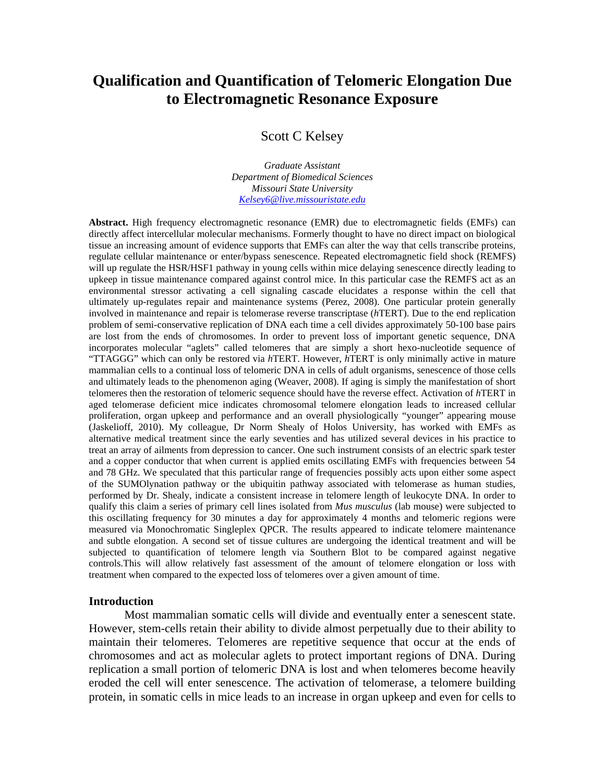# **Qualification and Quantification of Telomeric Elongation Due to Electromagnetic Resonance Exposure**

# Scott C Kelsey

*Graduate Assistant Department of Biomedical Sciences Missouri State University Kelsey6@live.missouristate.edu*

**Abstract.** High frequency electromagnetic resonance (EMR) due to electromagnetic fields (EMFs) can directly affect intercellular molecular mechanisms. Formerly thought to have no direct impact on biological tissue an increasing amount of evidence supports that EMFs can alter the way that cells transcribe proteins, regulate cellular maintenance or enter/bypass senescence. Repeated electromagnetic field shock (REMFS) will up regulate the HSR/HSF1 pathway in young cells within mice delaying senescence directly leading to upkeep in tissue maintenance compared against control mice. In this particular case the REMFS act as an environmental stressor activating a cell signaling cascade elucidates a response within the cell that ultimately up-regulates repair and maintenance systems (Perez, 2008). One particular protein generally involved in maintenance and repair is telomerase reverse transcriptase (*h*TERT). Due to the end replication problem of semi-conservative replication of DNA each time a cell divides approximately 50-100 base pairs are lost from the ends of chromosomes. In order to prevent loss of important genetic sequence, DNA incorporates molecular "aglets" called telomeres that are simply a short hexo-nucleotide sequence of "TTAGGG" which can only be restored via *h*TERT. However, *h*TERT is only minimally active in mature mammalian cells to a continual loss of telomeric DNA in cells of adult organisms, senescence of those cells and ultimately leads to the phenomenon aging (Weaver, 2008). If aging is simply the manifestation of short telomeres then the restoration of telomeric sequence should have the reverse effect. Activation of *h*TERT in aged telomerase deficient mice indicates chromosomal telomere elongation leads to increased cellular proliferation, organ upkeep and performance and an overall physiologically "younger" appearing mouse (Jaskelioff, 2010). My colleague, Dr Norm Shealy of Holos University, has worked with EMFs as alternative medical treatment since the early seventies and has utilized several devices in his practice to treat an array of ailments from depression to cancer. One such instrument consists of an electric spark tester and a copper conductor that when current is applied emits oscillating EMFs with frequencies between 54 and 78 GHz. We speculated that this particular range of frequencies possibly acts upon either some aspect of the SUMOlynation pathway or the ubiquitin pathway associated with telomerase as human studies, performed by Dr. Shealy, indicate a consistent increase in telomere length of leukocyte DNA. In order to qualify this claim a series of primary cell lines isolated from *Mus musculus* (lab mouse) were subjected to this oscillating frequency for 30 minutes a day for approximately 4 months and telomeric regions were measured via Monochromatic Singleplex QPCR. The results appeared to indicate telomere maintenance and subtle elongation. A second set of tissue cultures are undergoing the identical treatment and will be subjected to quantification of telomere length via Southern Blot to be compared against negative controls.This will allow relatively fast assessment of the amount of telomere elongation or loss with treatment when compared to the expected loss of telomeres over a given amount of time.

#### **Introduction**

 Most mammalian somatic cells will divide and eventually enter a senescent state. However, stem-cells retain their ability to divide almost perpetually due to their ability to maintain their telomeres. Telomeres are repetitive sequence that occur at the ends of chromosomes and act as molecular aglets to protect important regions of DNA. During replication a small portion of telomeric DNA is lost and when telomeres become heavily eroded the cell will enter senescence. The activation of telomerase, a telomere building protein, in somatic cells in mice leads to an increase in organ upkeep and even for cells to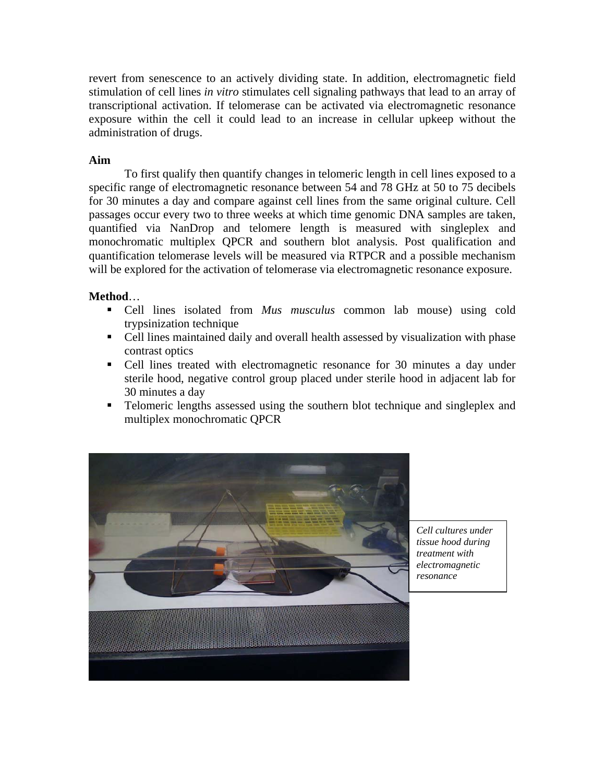revert from senescence to an actively dividing state. In addition, electromagnetic field stimulation of cell lines *in vitro* stimulates cell signaling pathways that lead to an array of transcriptional activation. If telomerase can be activated via electromagnetic resonance exposure within the cell it could lead to an increase in cellular upkeep without the administration of drugs.

# **Aim**

 To first qualify then quantify changes in telomeric length in cell lines exposed to a specific range of electromagnetic resonance between 54 and 78 GHz at 50 to 75 decibels for 30 minutes a day and compare against cell lines from the same original culture. Cell passages occur every two to three weeks at which time genomic DNA samples are taken, quantified via NanDrop and telomere length is measured with singleplex and monochromatic multiplex QPCR and southern blot analysis. Post qualification and quantification telomerase levels will be measured via RTPCR and a possible mechanism will be explored for the activation of telomerase via electromagnetic resonance exposure.

# **Method**…

- Cell lines isolated from *Mus musculus* common lab mouse) using cold trypsinization technique
- Cell lines maintained daily and overall health assessed by visualization with phase contrast optics
- Cell lines treated with electromagnetic resonance for 30 minutes a day under sterile hood, negative control group placed under sterile hood in adjacent lab for 30 minutes a day
- **Telomeric lengths assessed using the southern blot technique and singleplex and** multiplex monochromatic QPCR



*Cell cultures under tissue hood during treatment with electromagnetic resonance*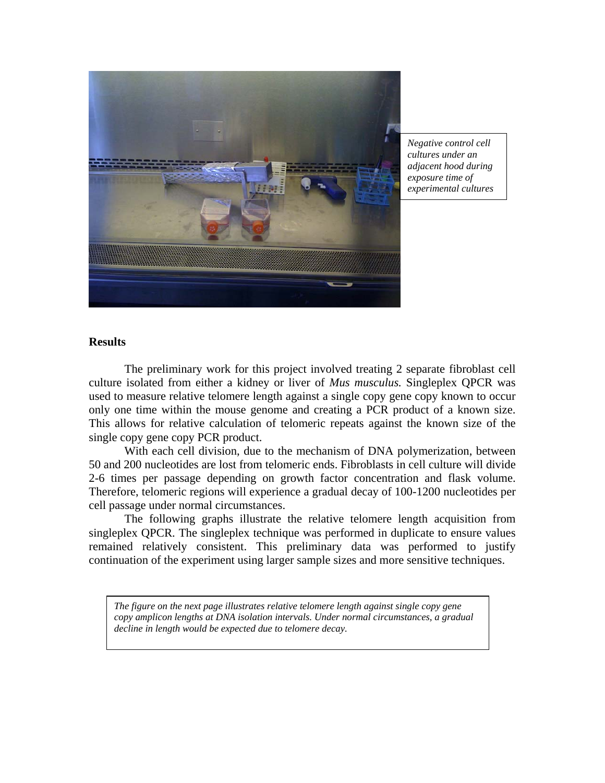

*Negative control cell cultures under an adjacent hood during exposure time of experimental cultures* 

#### **Results**

 The preliminary work for this project involved treating 2 separate fibroblast cell culture isolated from either a kidney or liver of *Mus musculus.* Singleplex QPCR was used to measure relative telomere length against a single copy gene copy known to occur only one time within the mouse genome and creating a PCR product of a known size. This allows for relative calculation of telomeric repeats against the known size of the single copy gene copy PCR product.

 With each cell division, due to the mechanism of DNA polymerization, between 50 and 200 nucleotides are lost from telomeric ends. Fibroblasts in cell culture will divide 2-6 times per passage depending on growth factor concentration and flask volume. Therefore, telomeric regions will experience a gradual decay of 100-1200 nucleotides per cell passage under normal circumstances.

 The following graphs illustrate the relative telomere length acquisition from singleplex QPCR. The singleplex technique was performed in duplicate to ensure values remained relatively consistent. This preliminary data was performed to justify continuation of the experiment using larger sample sizes and more sensitive techniques.

*The figure on the next page illustrates relative telomere length against single copy gene copy amplicon lengths at DNA isolation intervals. Under normal circumstances, a gradual decline in length would be expected due to telomere decay.*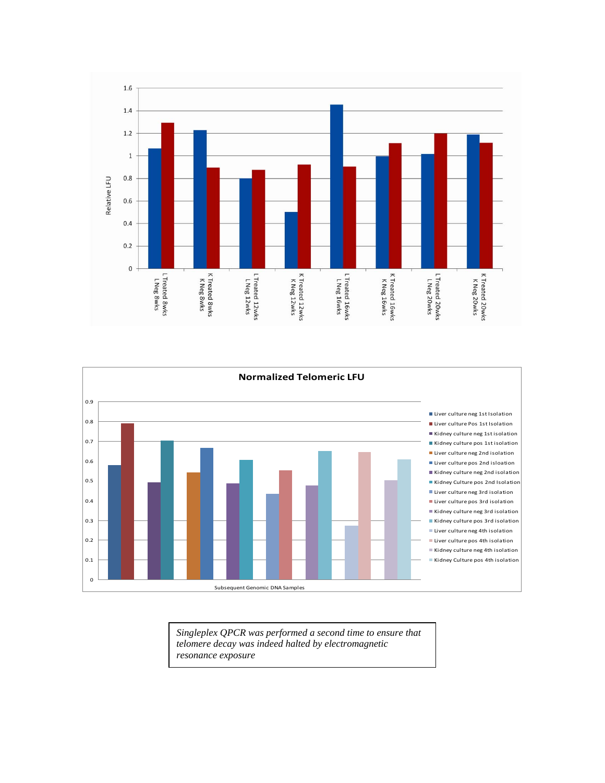



*Singleplex QPCR was performed a second time to ensure that telomere decay was indeed halted by electromagnetic resonance exposure*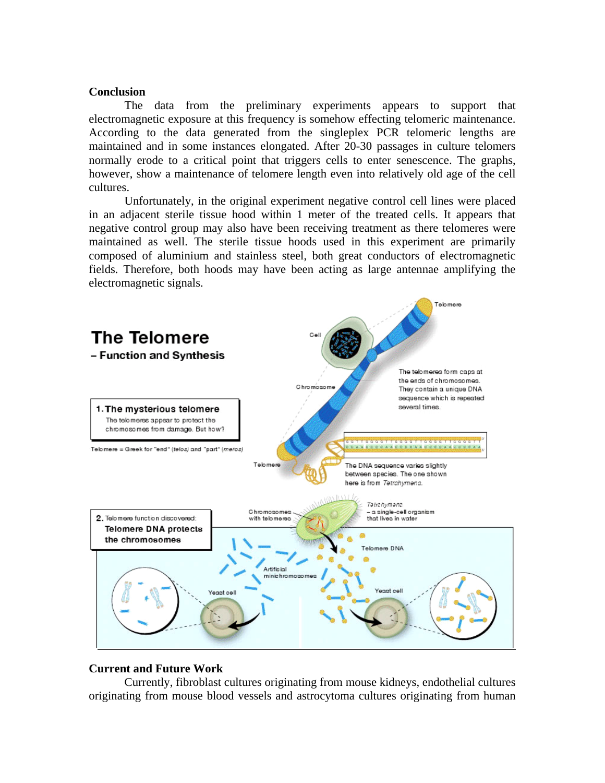#### **Conclusion**

 The data from the preliminary experiments appears to support that electromagnetic exposure at this frequency is somehow effecting telomeric maintenance. According to the data generated from the singleplex PCR telomeric lengths are maintained and in some instances elongated. After 20-30 passages in culture telomers normally erode to a critical point that triggers cells to enter senescence. The graphs, however, show a maintenance of telomere length even into relatively old age of the cell cultures.

 Unfortunately, in the original experiment negative control cell lines were placed in an adjacent sterile tissue hood within 1 meter of the treated cells. It appears that negative control group may also have been receiving treatment as there telomeres were maintained as well. The sterile tissue hoods used in this experiment are primarily composed of aluminium and stainless steel, both great conductors of electromagnetic fields. Therefore, both hoods may have been acting as large antennae amplifying the electromagnetic signals.



### **Current and Future Work**

 Currently, fibroblast cultures originating from mouse kidneys, endothelial cultures originating from mouse blood vessels and astrocytoma cultures originating from human